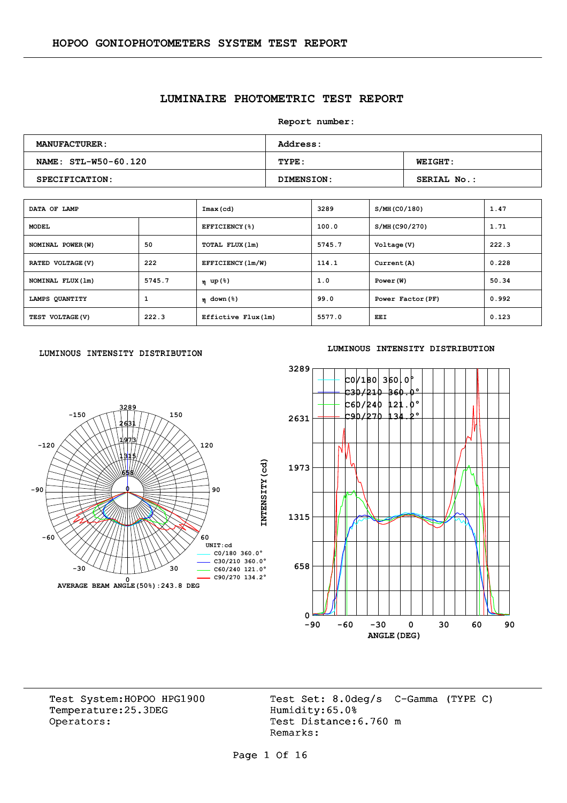## **LUMINAIRE PHOTOMETRIC TEST REPORT**

**Report number:** 

| <b>MANUFACTURER:</b> | <b>Address:</b> |                    |  |  |  |  |  |
|----------------------|-----------------|--------------------|--|--|--|--|--|
| NAME: STL-W50-60.120 | TYPE:           | <b>WEIGHT:</b>     |  |  |  |  |  |
| SPECIFICATION:       | DIMENSION:      | <b>SERIAL No.:</b> |  |  |  |  |  |

| DATA OF LAMP      |        | Imax (cd)                              | 3289   | S/MH (CO/180)     | 1.47  |
|-------------------|--------|----------------------------------------|--------|-------------------|-------|
| <b>MODEL</b>      |        | EFFICIENCY(%)                          | 100.0  | S/MH(C90/270)     | 1.71  |
| NOMINAL POWER (W) | 50     | TOTAL FLUX(1m)                         | 5745.7 | Voltage (V)       | 222.3 |
| RATED VOLTAGE (V) | 222    | EFFICIENCY (1m/W)                      | 114.1  | Current (A)       | 0.228 |
| NOMINAL FLUX (1m) | 5745.7 | η up(%)                                | 1.0    | Power (W)         | 50.34 |
| LAMPS QUANTITY    | 1      | $n \text{ down } (\text{\textdegree})$ | 99.0   | Power Factor (PF) | 0.992 |
| TEST VOLTAGE (V)  | 222.3  | Effictive Flux (1m)                    | 5577.0 | <b>EEI</b>        | 0.123 |

#### LUMINOUS INTENSITY DISTRIBUTION



#### **LUMINOUS INTENSITY DISTRIBUTION**



Temperature:25.3DEG Operators: Test Distance: 6.760 m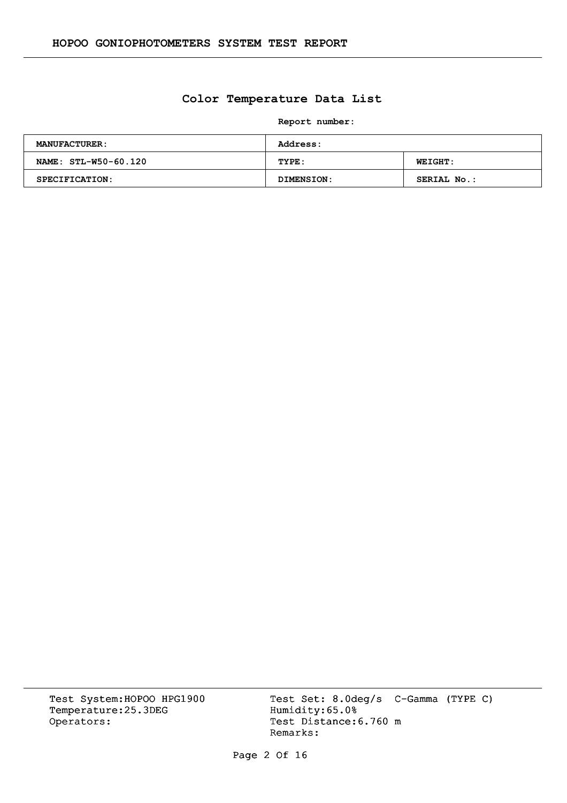## **Color Temperature Data List**

**Report number:** 

| <b>MANUFACTURER:</b>  | <b>Address:</b> |                |  |  |  |  |  |
|-----------------------|-----------------|----------------|--|--|--|--|--|
| NAME: STL-W50-60.120  | TYPE:           | <b>WEIGHT:</b> |  |  |  |  |  |
| <b>SPECIFICATION:</b> | DIMENSION:      | SERIAL No.:    |  |  |  |  |  |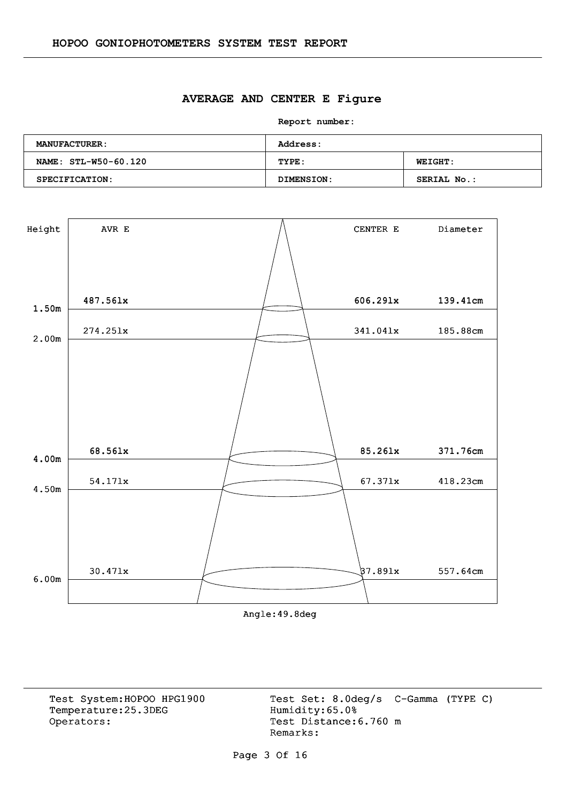#### **AVERAGE AND CENTER E Figure**

**Report number:** 

| <b>MANUFACTURER:</b> | <b>Address:</b> |                    |  |  |  |  |  |
|----------------------|-----------------|--------------------|--|--|--|--|--|
| NAME: STL-W50-60.120 | TYPE:           | <b>WEIGHT:</b>     |  |  |  |  |  |
| SPECIFICATION:       | DIMENSION:      | <b>SERIAL No.:</b> |  |  |  |  |  |



Angle:49.8deg

Temperature:25.3DEG Operators: Test Distance: 6.760 m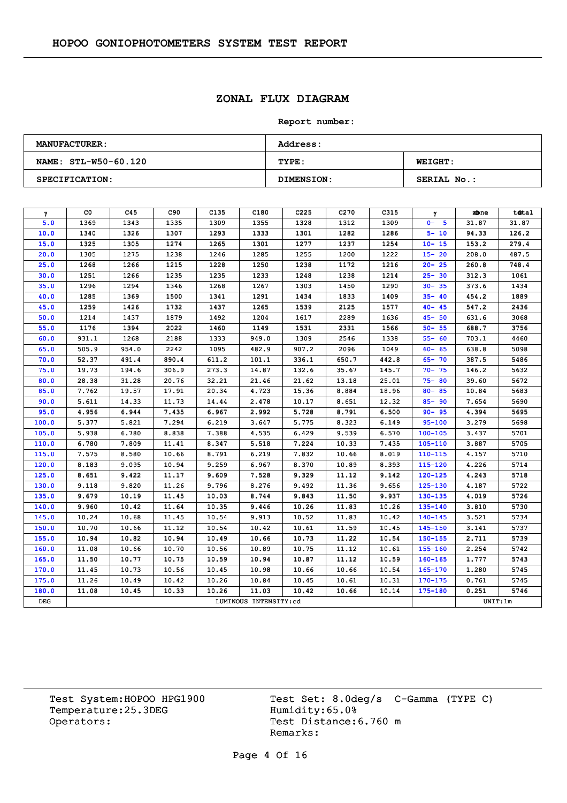# **ZONAL FLUX DIAGRAM**

#### **Report number:**

| <b>MANUFACTURER:</b>  | <b>Address:</b>   |                    |  |  |  |  |  |
|-----------------------|-------------------|--------------------|--|--|--|--|--|
| NAME: STL-W50-60.120  | TYPE:             | <b>WEIGHT:</b>     |  |  |  |  |  |
| <b>SPECIFICATION:</b> | <b>DIMENSION:</b> | <b>SERIAL No.:</b> |  |  |  |  |  |

| $\gamma$ | CO.   | C45   | C90   | C <sub>135</sub> | C180                  | C <sub>225</sub> | C <sub>270</sub> | C315  | γ           | zbne     | total |
|----------|-------|-------|-------|------------------|-----------------------|------------------|------------------|-------|-------------|----------|-------|
| 5.0      | 1369  | 1343  | 1335  | 1309             | 1355                  | 1328             | 1312             | 1309  | $0 - 5$     | 31.87    | 31.87 |
| 10.0     | 1340  | 1326  | 1307  | 1293             | 1333                  | 1301             | 1282             | 1286  | $5 - 10$    | 94.33    | 126.2 |
| 15.0     | 1325  | 1305  | 1274  | 1265             | 1301                  | 1277             | 1237             | 1254  | $10 - 15$   | 153.2    | 279.4 |
| 20.0     | 1305  | 1275  | 1238  | 1246             | 1285                  | 1255             | 1200             | 1222  | $15 - 20$   | 208.0    | 487.5 |
| 25.0     | 1268  | 1266  | 1215  | 1228             | 1250                  | 1238             | 1172             | 1216  | $20 - 25$   | 260.8    | 748.4 |
| 30.0     | 1251  | 1266  | 1235  | 1235             | 1233                  | 1248             | 1238             | 1214  | $25 - 30$   | 312.3    | 1061  |
| 35.0     | 1296  | 1294  | 1346  | 1268             | 1267                  | 1303             | 1450             | 1290  | $30 - 35$   | 373.6    | 1434  |
| 40.0     | 1285  | 1369  | 1500  | 1341             | 1291                  | 1434             | 1833             | 1409  | $35 - 40$   | 454.2    | 1889  |
| 45.0     | 1259  | 1426  | 1732  | 1437             | 1265                  | 1539             | 2125             | 1577  | $40 - 45$   | 547.2    | 2436  |
| 50.0     | 1214  | 1437  | 1879  | 1492             | 1204                  | 1617             | 2289             | 1636  | $45 - 50$   | 631.6    | 3068  |
| 55.0     | 1176  | 1394  | 2022  | 1460             | 1149                  | 1531             | 2331             | 1566  | $50 - 55$   | 688.7    | 3756  |
| 60.0     | 931.1 | 1268  | 2188  | 1333             | 949.0                 | 1309             | 2546             | 1338  | $55 - 60$   | 703.1    | 4460  |
| 65.0     | 505.9 | 954.0 | 2242  | 1095             | 482.9                 | 907.2            | 2096             | 1049  | $60 - 65$   | 638.8    | 5098  |
| 70.0     | 52.37 | 491.4 | 890.4 | 611.2            | 101.1                 | 336.1            | 650.7            | 442.8 | $65 - 70$   | 387.5    | 5486  |
| 75.0     | 19.73 | 194.6 | 306.9 | 273.3            | 14.87                 | 132.6            | 35.67            | 145.7 | $70 - 75$   | 146.2    | 5632  |
| 80.0     | 28.38 | 31.28 | 20.76 | 32.21            | 21.46                 | 21.62            | 13.18            | 25.01 | $75 - 80$   | 39.60    | 5672  |
| 85.0     | 7.762 | 19.57 | 17.91 | 20.34            | 4.723                 | 15.36            | 8.884            | 18.96 | $80 - 85$   | 10.84    | 5683  |
| 90.0     | 5.611 | 14.33 | 11.73 | 14,44            | 2.478                 | 10.17            | 8.651            | 12.32 | $85 - 90$   | 7.654    | 5690  |
| 95.0     | 4.956 | 6.944 | 7.435 | 6.967            | 2.992                 | 5.728            | 8.791            | 6.500 | $90 - 95$   | 4.394    | 5695  |
| 100.0    | 5.377 | 5.821 | 7.294 | 6.219            | 3.647                 | 5.775            | 8.323            | 6.149 | $95 - 100$  | 3.279    | 5698  |
| 105.0    | 5.938 | 6.780 | 8.838 | 7.388            | 4.535                 | 6.429            | 9.539            | 6.570 | $100 - 105$ | 3.437    | 5701  |
| 110.0    | 6.780 | 7.809 | 11.41 | 8.347            | 5.518                 | 7.224            | 10.33            | 7.435 | $105 - 110$ | 3.887    | 5705  |
| 115.0    | 7.575 | 8.580 | 10.66 | 8.791            | 6.219                 | 7.832            | 10.66            | 8.019 | $110 - 115$ | 4.157    | 5710  |
| 120.0    | 8.183 | 9.095 | 10.94 | 9.259            | 6.967                 | 8.370            | 10.89            | 8.393 | $115 - 120$ | 4.226    | 5714  |
| 125.0    | 8.651 | 9.422 | 11.17 | 9.609            | 7.528                 | 9.329            | 11.12            | 9.142 | $120 - 125$ | 4,243    | 5718  |
| 130.0    | 9.118 | 9.820 | 11.26 | 9.796            | 8.276                 | 9.492            | 11.36            | 9.656 | $125 - 130$ | 4.187    | 5722  |
| 135.0    | 9.679 | 10.19 | 11.45 | 10.03            | 8.744                 | 9.843            | 11.50            | 9.937 | $130 - 135$ | 4.019    | 5726  |
| 140.0    | 9.960 | 10.42 | 11.64 | 10.35            | 9.446                 | 10.26            | 11.83            | 10.26 | 135-140     | 3.810    | 5730  |
| 145.0    | 10.24 | 10.68 | 11.45 | 10.54            | 9.913                 | 10.52            | 11.83            | 10.42 | $140 - 145$ | 3.521    | 5734  |
| 150.0    | 10.70 | 10.66 | 11.12 | 10.54            | 10.42                 | 10.61            | 11.59            | 10.45 | $145 - 150$ | 3.141    | 5737  |
| 155.0    | 10.94 | 10.82 | 10.94 | 10.49            | 10.66                 | 10.73            | 11.22            | 10.54 | $150 - 155$ | 2.711    | 5739  |
| 160.0    | 11.08 | 10.66 | 10.70 | 10.56            | 10.89                 | 10.75            | 11.12            | 10.61 | $155 - 160$ | 2.254    | 5742  |
| 165.0    | 11.50 | 10.77 | 10.75 | 10.59            | 10.94                 | 10.87            | 11.12            | 10.59 | $160 - 165$ | 1.777    | 5743  |
| 170.0    | 11.45 | 10.73 | 10.56 | 10.45            | 10.98                 | 10.66            | 10.66            | 10.54 | 165-170     | 1.280    | 5745  |
| 175.0    | 11.26 | 10.49 | 10.42 | 10.26            | 10.84                 | 10.45            | 10.61            | 10.31 | $170 - 175$ | 0.761    | 5745  |
| 180.0    | 11.08 | 10.45 | 10.33 | 10.26            | 11.03                 | 10.42            | 10.66            | 10.14 | $175 - 180$ | 0.251    | 5746  |
| DEG      |       |       |       |                  | LUMINOUS INTENSITY:cd |                  |                  |       |             | UNIT: 1m |       |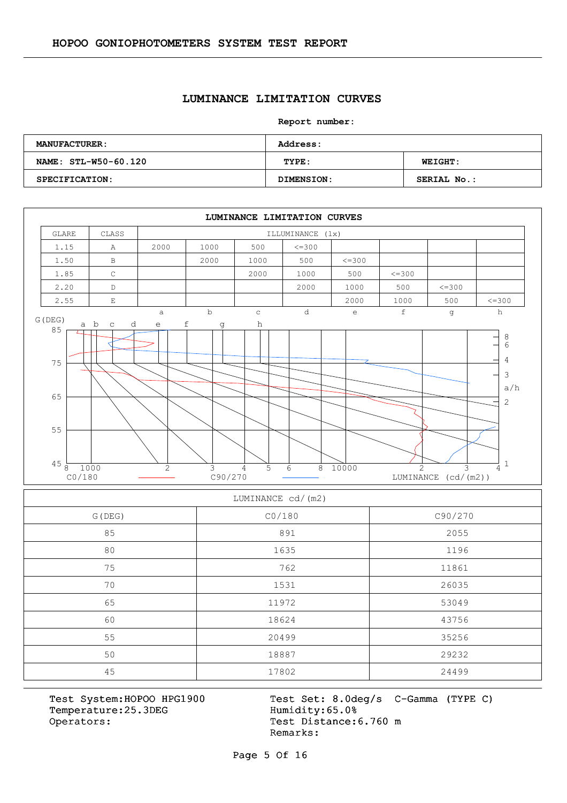#### **LUMINANCE LIMITATION CURVES**

**Report number:** 

| <b>MANUFACTURER:</b>  | <b>Address:</b>   |                    |  |  |  |  |  |
|-----------------------|-------------------|--------------------|--|--|--|--|--|
| NAME: STL-W50-60.120  | TYPE:             | <b>WEIGHT:</b>     |  |  |  |  |  |
| <b>SPECIFICATION:</b> | <b>DIMENSION:</b> | <b>SERIAL No.:</b> |  |  |  |  |  |



#### LUMINANCE cd/(m2)

| G (DEG) | CO/180 | C90/270 |
|---------|--------|---------|
| 85      | 891    | 2055    |
| 80      | 1635   | 1196    |
| 75      | 762    | 11861   |
| 70      | 1531   | 26035   |
| 65      | 11972  | 53049   |
| 60      | 18624  | 43756   |
| 55      | 20499  | 35256   |
| 50      | 18887  | 29232   |
| 45      | 17802  | 24499   |

Temperature:25.3DEG Operators: Test Distance: 6.760 m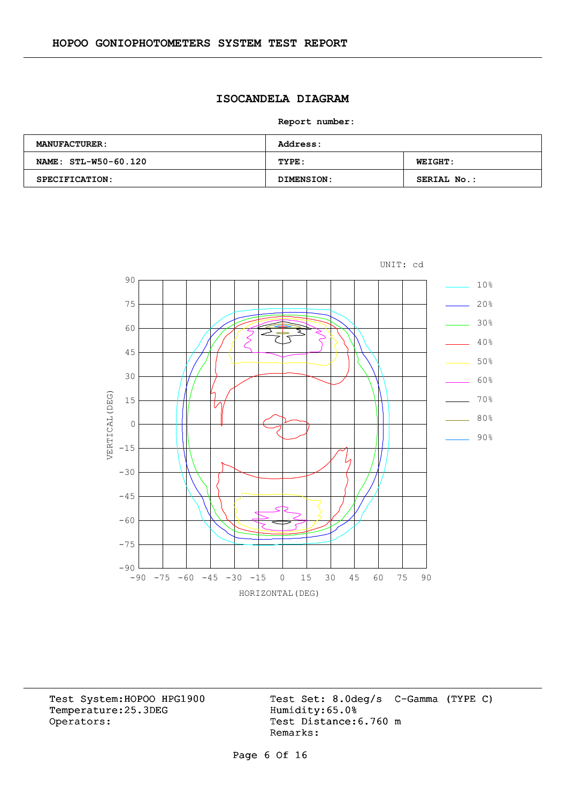# **ISOCANDELA DIAGRAM**

**Report number:** 

| <b>MANUFACTURER:</b> | <b>Address:</b> |                |  |  |  |  |  |
|----------------------|-----------------|----------------|--|--|--|--|--|
| NAME: STL-W50-60.120 | TYPE:           | <b>WEIGHT:</b> |  |  |  |  |  |
| SPECIFICATION:       | DIMENSION:      | SERIAL No.:    |  |  |  |  |  |



Temperature:25.3DEG Operators: Test Distance: 6.760 m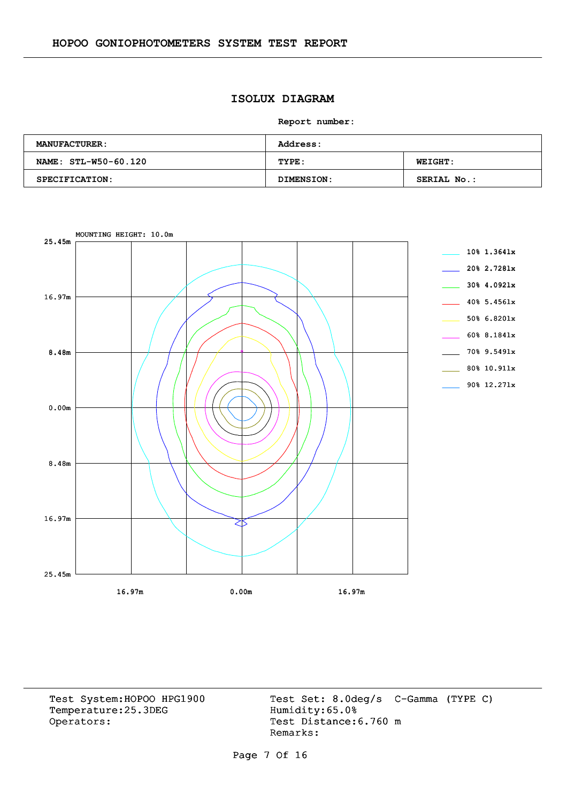## **ISOLUX DIAGRAM**

**Report number:** 

| <b>MANUFACTURER:</b> | <b>Address:</b> |                    |  |  |  |  |  |
|----------------------|-----------------|--------------------|--|--|--|--|--|
| NAME: STL-W50-60.120 | TYPE:           | <b>WEIGHT:</b>     |  |  |  |  |  |
| SPECIFICATION:       | DIMENSION:      | <b>SERIAL No.:</b> |  |  |  |  |  |



Temperature:25.3DEG Operators: Test Distance: 6.760 m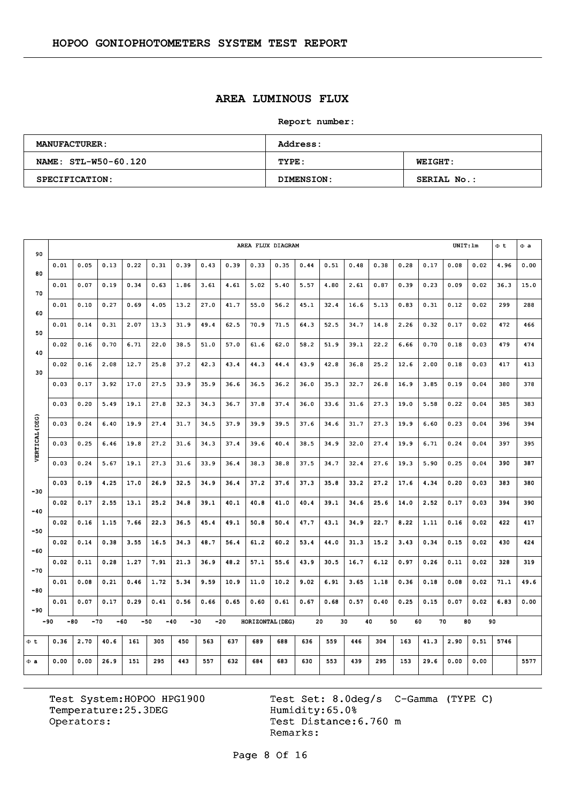## **AREA LUMINOUS FLUX**

**Report number:** 

| <b>MANUFACTURER:</b> | <b>Address:</b> |                |  |  |  |  |  |
|----------------------|-----------------|----------------|--|--|--|--|--|
| NAME: STL-W50-60.120 | TYPE:           | <b>WEIGHT:</b> |  |  |  |  |  |
| SPECIFICATION:       | DIMENSION:      | SERIAL No.:    |  |  |  |  |  |

| 90             | UNIT:lm<br>AREA FLUX DIAGRAM |      |                |      |       |                |       |      |                  |      |      |      |      | $\Phi$ t | $\Phi$ a |          |      |      |      |      |
|----------------|------------------------------|------|----------------|------|-------|----------------|-------|------|------------------|------|------|------|------|----------|----------|----------|------|------|------|------|
| 80             | 0.01                         | 0.05 | 0.13           | 0.22 | 0.31  | 0.39           | 0.43  | 0.39 | 0.33             | 0.35 | 0.44 | 0.51 | 0.48 | 0.38     | 0.28     | 0.17     | 0.08 | 0.02 | 4.96 | 0.00 |
| 70             | 0.01                         | 0.07 | 0.19           | 0.34 | 0.63  | 1.86           | 3.61  | 4.61 | 5.02             | 5.40 | 5.57 | 4.80 | 2.61 | 0.87     | 0.39     | 0.23     | 0.09 | 0.02 | 36.3 | 15.0 |
| 60             | 0.01                         | 0.10 | 0.27           | 0.69 | 4.05  | 13.2           | 27.0  | 41.7 | 55.0             | 56.2 | 45.1 | 32.4 | 16.6 | 5.13     | 0.83     | 0.31     | 0.12 | 0.02 | 299  | 288  |
| 50             | 0.01                         | 0.14 | 0.31           | 2.07 | 13.3  | 31.9           | 49.4  | 62.5 | 70.9             | 71.5 | 64.3 | 52.5 | 34.7 | 14.8     | 2.26     | 0.32     | 0.17 | 0.02 | 472  | 466  |
| 40             | 0.02                         | 0.16 | 0.70           | 6.71 | 22.0  | 38.5           | 51.0  | 57.0 | 61.6             | 62.0 | 58.2 | 51.9 | 39.1 | 22.2     | 6.66     | 0.70     | 0.18 | 0.03 | 479  | 474  |
|                | 0.02                         | 0.16 | 2.08           | 12.7 | 25.8  | 37.2           | 42.3  | 43.4 | 44.3             | 44.4 | 43.9 | 42.8 | 36.8 | 25.2     | 12.6     | 2.00     | 0.18 | 0.03 | 417  | 413  |
| 30             | 0.03                         | 0.17 | 3.92           | 17.0 | 27.5  | 33.9           | 35.9  | 36.6 | 36.5             | 36.2 | 36.0 | 35.3 | 32.7 | 26.8     | 16.9     | 3.85     | 0.19 | 0.04 | 380  | 378  |
|                | 0.03                         | 0.20 | 5.49           | 19.1 | 27.8  | 32.3           | 34.3  | 36.7 | 37.8             | 37.4 | 36.0 | 33.6 | 31.6 | 27.3     | 19.0     | 5.58     | 0.22 | 0.04 | 385  | 383  |
|                | 0.03                         | 0.24 | 6.40           | 19.9 | 27.4  | 31.7           | 34.5  | 37.9 | 39.9             | 39.5 | 37.6 | 34.6 | 31.7 | 27.3     | 19.9     | 6.60     | 0.23 | 0.04 | 396  | 394  |
| VERTICAL (DEG) | 0.03                         | 0.25 | 6.46           | 19.8 | 27.2  | 31.6           | 34.3  | 37.4 | 39.6             | 40.4 | 38.5 | 34.9 | 32.0 | 27.4     | 19.9     | 6.71     | 0.24 | 0.04 | 397  | 395  |
|                | 0.03                         | 0.24 | 5.67           | 19.1 | 27.3  | 31.6           | 33.9  | 36.4 | 38.3             | 38.8 | 37.5 | 34.7 | 32.4 | 27.6     | 19.3     | 5.90     | 0.25 | 0.04 | 390  | 387  |
|                | 0.03                         | 0.19 | 4.25           | 17.0 | 26.9  | 32.5           | 34.9  | 36.4 | 37.2             | 37.6 | 37.3 | 35.8 | 33.2 | 27.2     | 17.6     | 4.34     | 0.20 | 0.03 | 383  | 380  |
| $-30$          | 0.02                         | 0.17 | 2.55           | 13.1 | 25.2  | 34.8           | 39.1  | 40.1 | 40.8             | 41.0 | 40.4 | 39.1 | 34.6 | 25.6     | 14.0     | 2.52     | 0.17 | 0.03 | 394  | 390  |
| $-40$          | 0.02                         | 0.16 | 1.15           | 7.66 | 22.3  | 36.5           | 45.4  | 49.1 | 50.8             | 50.4 | 47.7 | 43.1 | 34.9 | 22.7     | 8.22     | 1.11     | 0.16 | 0.02 | 422  | 417  |
| $-50$          | 0.02                         | 0.14 | 0.38           | 3.55 | 16.5  | 34.3           | 48.7  | 56.4 | 61.2             | 60.2 | 53.4 | 44.0 | 31.3 | 15.2     | 3.43     | 0.34     | 0.15 | 0.02 | 430  | 424  |
| $-60$          |                              |      |                |      |       |                |       |      |                  |      |      |      |      |          |          |          |      |      |      |      |
| $-70$          | 0.02                         | 0.11 | 0.28           | 1.27 | 7.91  | 21.3           | 36.9  | 48.2 | 57.1             | 55.6 | 43.9 | 30.5 | 16.7 | 6.12     | 0.97     | 0.26     | 0.11 | 0.02 | 328  | 319  |
| $-80$          | 0.01                         | 0.08 | 0.21           | 0.46 | 1.72  | 5.34           | 9.59  | 10.9 | 11.0             | 10.2 | 9.02 | 6.91 | 3.65 | 1.18     | 0.36     | 0.18     | 0.08 | 0.02 | 71.1 | 49.6 |
| $-90$          | 0.01                         | 0.07 | 0.17           | 0.29 | 0.41  | 0.56           | 0.66  | 0.65 | 0.60             | 0.61 | 0.67 | 0.68 | 0.57 | 0.40     | 0.25     | 0.15     | 0.07 | 0.02 | 6.83 | 0.00 |
|                | $-90$<br>$-80$               |      | $-70$<br>$-60$ |      | $-50$ | $-40$<br>$-30$ | $-20$ |      | HORIZONTAL (DEG) |      |      | 20   | 30   | 40       | 50       | 60<br>70 |      | 80   | 90   |      |
| $\Phi$ t       | 0.36                         | 2,70 | 40.6           | 161  | 305   | 450            | 563   | 637  | 689              | 688  | 636  | 559  | 446  | 304      | 163      | 41.3     | 2.90 | 0.51 | 5746 |      |
| $\Phi$ a       | 0.00                         | 0.00 | 26.9           | 151  | 295   | 443            | 557   | 632  | 684              | 683  | 630  | 553  | 439  | 295      | 153      | 29.6     | 0.00 | 0.00 |      | 5577 |

Temperature:25.3DEG Operators: Test Distance: 6.760 m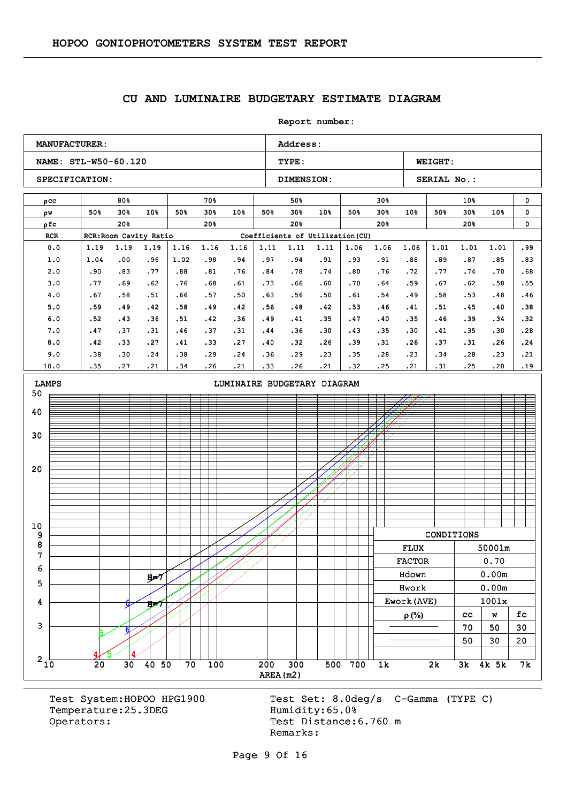#### **CU AND LUMINAIRE BUDGETARY ESTIMATE DIAGRAM**

**Report number: NAME: STL-W50-60.120 TYPE: WEIGHT:** SPECIFICATION: DIMENSION: SERIAL No.: **MANUFACTURER:** Address: ρcc w ρ ρfc RCR RCR:Room Cavity Ratio Coefficients of Utilization (CU) 80% 50% 30% 50% 30% 10% 20% 70% 50% 30% 50% 30% 10% 20% 50% 50% 30% 50% 30% 10% 20% 30% 50% 30% 50% 30% 10% 20% 10% 50% 30% 50% 30% 10% 20% 0  $\mathbf{0}$ 0 0.0 1.0 2.0 3.0 4.0 5.0 6.0 7.0 8.0 9.0 10.0 1.19 1.04 .90 .77 .67 .59 .52 .47 .42 .38 .35 1.19 .00 .83 .69 .58 .49 .43 .37 .33 .30 .27 1.19 .96 .77 .62 .51 .42 .36 .31 .27 .24 .21 1.16 1.02 .88 .76 .66 .58 .51 .46 .41 .38 .34 1.16 .98 .81 .68 .57 .49 .42 .37 .33 .29 .26 1.16 .94 .76 .61 .50 .42 .36 .31 .27 .24 .21 1.11 .97 .84 .73 .63 .56 .49 .44 .40 .36 .33 1.11 .94 .78 .66 .56 .48 .41 .36 .32 .29 .26 1.11 .91 .74 .60 .50 .42 .35 .30 .26 .23 .21 1.06 .93 .80 .70 .61 .53 .47 .43 .39 .35 .32 1.06 .91 .76 .64 .54 .46 .40 .35 .31 .28 .25 1.06 .88 .72 .59 .49 .41 .35 .30 .26 .23 .21 1.01 .89 .77 .67 .58 .51 .46 .41 .37 .34 .31 1.01 .87 .74 .62 .53 .45 .39 .35 .31 .28 .25 1.01 .85 .70 .58 .48 .40 .34 .30 .26  $.23$ .20 .99 .83 .68 .55 .46 .38 .32 .28 .24 .21 .19 3 4 5 6 7 8 9 10 20 30 40 50 LAMPS **LAMPS LIMINAIRE BUDGETARY DIAGRAM**  $5/14$ 6 H=7 4 5 6 น่⇒7 CONDITIONS FLUX 5000lm FLUX 5000lm FACTOR 0.70 Hdown 0.00m Hdown 0.00m Hwork 0.00m Hwork 0.00m Ework(AVE)  $\vert$  1001x  $\rho(\%)$  | cc | w | fc  $70 \mid 50 \mid 30$  $50 \mid 30 \mid 20$ 

Temperature: 25.3DEG Humidity: 65.0% Operators: Test Distance: 6.760 m

Test System:HOPOO HPG1900 Test Set: 8.0deg/s C-Gamma (TYPE C) Remarks:

Page 9 Of 16

AREA(m2)  $210$  20 30 40 50 70 100 200 300 500 700 1k 2k 3k 4k 5k 7k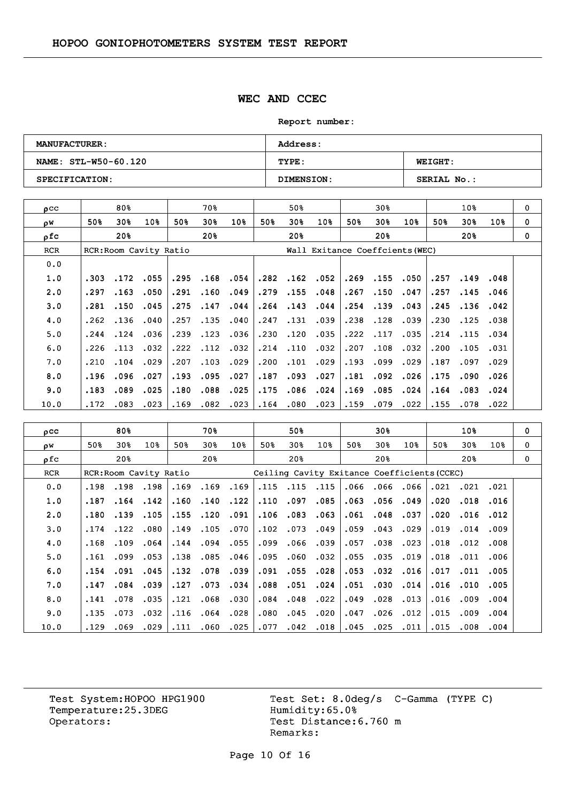### **WEC AND CCEC**

**Report number:** 

| <b>MANUFACTURER:</b>  | <b>Address:</b> |                    |
|-----------------------|-----------------|--------------------|
| NAME: STL-W50-60.120  | TYPE:           | <b>WEIGHT:</b>     |
| <b>SPECIFICATION:</b> | DIMENSION:      | <b>SERIAL No.:</b> |

| $_{\text{O}}$ CC |      | 80%  |                        |      | 70왕  |      |      | 50%  |                                 |      | 30%      |      |      | 10 <sub>8</sub> |                 | 0        |
|------------------|------|------|------------------------|------|------|------|------|------|---------------------------------|------|----------|------|------|-----------------|-----------------|----------|
| οW               | 50%  | 30%  | 10%                    | 50%  | 30%  | 10%  | 50%  | 30%  | 10 <sub>8</sub>                 | 50%  | 30%      | 10%  | 50%  | 30 <sub>8</sub> | 10 <sub>8</sub> | $\Omega$ |
| ρfc              |      | 20%  |                        |      | 20%  |      |      | 20%  |                                 |      | 20%      |      |      | 20%             |                 | $\Omega$ |
| <b>RCR</b>       |      |      | RCR: Room Cavity Ratio |      |      |      |      |      | Wall Exitance Coeffcients (WEC) |      |          |      |      |                 |                 |          |
| 0.0              |      |      |                        |      |      |      |      |      |                                 |      |          |      |      |                 |                 |          |
| 1.0              | .303 | .172 | .055                   | .295 | .168 | .054 | .282 | .162 | .052                            |      | .269.155 | .050 | .257 | .149            | .048            |          |
| 2.0              | .297 | .163 | .050                   | .291 | .160 | .049 | .279 | .155 | .048                            | .267 | .150     | .047 | .257 | .145            | .046            |          |
| 3.0              | .281 | .150 | .045                   | .275 | .147 | .044 | .264 | .143 | .044                            | .254 | .139     | .043 | .245 | .136            | .042            |          |
| 4.0              | .262 | .136 | .040                   | .257 | .135 | .040 | .247 | .131 | .039                            | .238 | .128     | .039 | .230 | .125            | .038            |          |
| 5.0              | .244 | .124 | .036                   | .239 | .123 | .036 | .230 | .120 | .035                            | .222 | .117     | .035 | .214 | .115            | .034            |          |
| 6.0              | .226 | .113 | .032                   | .222 | .112 | .032 | .214 | .110 | .032                            | .207 | .108     | .032 | .200 | .105            | .031            |          |
| 7.0              | .210 | .104 | .029                   | .207 | .103 | .029 | .200 | .101 | .029                            | .193 | .099     | .029 | .187 | .097            | .029            |          |
| 8.0              | .196 | .096 | .027                   | .193 | .095 | .027 | .187 | .093 | .027                            | .181 | .092     | .026 | .175 | .090            | .026            |          |
| 9.0              | .183 | .089 | .025                   | .180 | .088 | .025 | .175 | .086 | .024                            | .169 | .085     | .024 | .164 | .083            | .024            |          |
| 10.0             | .172 | .083 | .023                   | .169 | .082 | .023 | .164 | .080 | .023                            | .159 | .079     | .022 | .155 | .078            | .022            |          |

| $_{\text{pcc}}$ |      | 80%             |                        |      | 70%  |                 |      | 50%                                         |                 |      | 30%  |      |      | 10%             |                 | 0 |
|-----------------|------|-----------------|------------------------|------|------|-----------------|------|---------------------------------------------|-----------------|------|------|------|------|-----------------|-----------------|---|
| ρW              | 50%  | 30%             | 10 <sub>8</sub>        | 50%  | 30%  | 10 <sub>8</sub> | 50%  | 30 <sub>8</sub>                             | 10 <sub>8</sub> | 50%  | 30%  | 10%  | 50%  | 30%             | 10 <sub>8</sub> | 0 |
| ρfc             |      | 20 <sub>8</sub> |                        |      | 20%  |                 |      | 20%                                         |                 |      | 20%  |      |      | 20 <sub>8</sub> |                 | 0 |
| <b>RCR</b>      |      |                 | RCR: Room Cavity Ratio |      |      |                 |      | Ceiling Cavity Exitance Coefficients (CCEC) |                 |      |      |      |      |                 |                 |   |
| 0.0             | .198 | .198            | .198                   | .169 | .169 | .169            |      | .115.115                                    | .115            | .066 | .066 | .066 | .021 | .021            | .021            |   |
| 1.0             | .187 | .164            | .142                   | .160 | .140 | .122            | .110 | .097                                        | .085            | .063 | .056 | .049 | .020 | .018            | .016            |   |
| 2.0             | .180 | .139            | .105                   | .155 | .120 | .091            | .106 | .083                                        | .063            | .061 | .048 | .037 | .020 | .016            | .012            |   |
| 3.0             | .174 | .122            | .080                   | .149 | .105 | .070            | .102 | .073                                        | .049            | .059 | .043 | .029 | .019 | .014            | .009            |   |
| 4.0             | .168 | .109            | .064                   | .144 | .094 | .055            | .099 | .066                                        | .039            | .057 | .038 | .023 | .018 | .012            | .008            |   |
| 5.0             | .161 | .099            | .053                   | .138 | .085 | .046            | .095 | .060                                        | .032            | .055 | .035 | .019 | .018 | .011            | .006            |   |
| 6.0             | .154 | .091            | .045                   | .132 | .078 | .039            | .091 | .055                                        | .028            | .053 | .032 | .016 | .017 | .011            | .005            |   |
| 7.0             | .147 | .084            | .039                   | .127 | .073 | .034            | .088 | .051                                        | .024            | .051 | .030 | .014 | .016 | .010            | .005            |   |
| 8.0             | .141 | .078            | .035                   | .121 | .068 | .030            | .084 | .048                                        | .022            | .049 | .028 | .013 | .016 | .009            | .004            |   |
| 9.0             | .135 | .073            | .032                   | .116 | .064 | .028            | .080 | .045                                        | .020            | .047 | .026 | .012 | .015 | .009            | .004            |   |
| 10.0            | .129 | .069            | .029                   | .111 | .060 | .025            | .077 | .042                                        | .018            | .045 | .025 | .011 | .015 | .008            | .004            |   |

Temperature:25.3DEG Operators: Test Distance: 6.760 m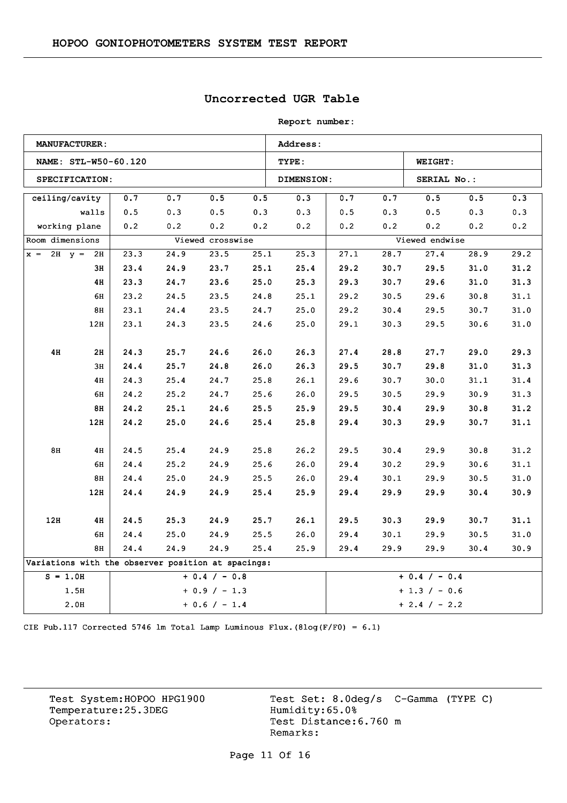## **Uncorrected UGR Table**

| <b>Report number:</b> |  |
|-----------------------|--|
|-----------------------|--|

|                   | <b>MANUFACTURER:</b> |      |                                                    |                  |      | Address:          |      |                 |                 |      |      |  |
|-------------------|----------------------|------|----------------------------------------------------|------------------|------|-------------------|------|-----------------|-----------------|------|------|--|
|                   | NAME: STL-W50-60.120 |      |                                                    |                  |      | TYPE:             |      |                 | WEIGHT:         |      |      |  |
|                   | SPECIFICATION:       |      |                                                    |                  |      | <b>DIMENSION:</b> |      |                 | SERIAL No.:     |      |      |  |
| ceiling/cavity    |                      | 0.7  | 0.7                                                | 0.5              | 0.5  | 0.3               | 0.7  | 0.7             | 0.5             | 0.5  | 0.3  |  |
|                   | walls                | 0.5  | 0.3                                                | 0.5              | 0.3  | 0.3               | 0.5  | 0.3             | 0.5             | 0.3  | 0.3  |  |
|                   | working plane        | 0.2  | 0.2                                                | 0.2              | 0.2  | 0.2               | 0.2  | 0.2             | 0.2             | 0.2  | 0.2  |  |
| Room dimensions   |                      |      |                                                    | Viewed crosswise |      |                   |      |                 | Viewed endwise  |      |      |  |
| $x = 2H$ $y = 2H$ |                      | 23.3 | 24.9                                               | 23.5             | 25.1 | 25.3              | 27.1 | 28.7            | 27.4            | 28.9 | 29.2 |  |
|                   | 3н                   | 23.4 | 24.9                                               | 23.7             | 25.1 | 25.4              | 29.2 | 30.7            | 29.5            | 31.0 | 31.2 |  |
|                   | 4H                   | 23.3 | 24.7                                               | 23.6             | 25.0 | 25.3              | 29.3 | 30.7            | 29.6            | 31.0 | 31.3 |  |
|                   | 6H                   | 23.2 | 24.5                                               | 23.5             | 24.8 | 25.1              | 29.2 | 30.5            | 29.6            | 30.8 | 31.1 |  |
|                   | 8H                   | 23.1 | 24.4                                               | 23.5             | 24.7 | 25.0              | 29.2 | 30.4            | 29.5            | 30.7 | 31.0 |  |
|                   | 12H                  | 23.1 | 24.3                                               | 23.5             | 24.6 | 25.0              | 29.1 | 30.3            | 29.5            | 30.6 | 31.0 |  |
| 4H                | 2H                   | 24.3 | 25.7                                               | 24.6             | 26.0 | 26.3              | 27.4 | 28.8            | 27.7            | 29.0 | 29.3 |  |
|                   | 3H                   | 24.4 | 25.7                                               | 24.8             | 26.0 | 26.3              | 29.5 | 30.7            | 29.8            | 31.0 | 31.3 |  |
|                   | 4H                   | 24.3 | 25.4                                               | 24.7             | 25.8 | 26.1              | 29.6 | 30.7            | 30.0            | 31.1 | 31.4 |  |
|                   | 6H                   | 24.2 | 25.2                                               | 24.7             | 25.6 | 26.0              | 29.5 | 30.5            | 29.9            | 30.9 | 31.3 |  |
|                   | 8H                   | 24.2 | 25.1                                               | 24.6             | 25.5 | 25.9              | 29.5 | 30.4            | 29.9            | 30.8 | 31.2 |  |
|                   | 12H                  | 24.2 | 25.0                                               | 24.6             | 25.4 | 25.8              | 29.4 | 30.3            | 29.9            | 30.7 | 31.1 |  |
| 8H                | 4H                   | 24.5 | 25.4                                               | 24.9             | 25.8 | 26.2              | 29.5 | 30.4            | 29.9            | 30.8 | 31.2 |  |
|                   | 6H                   | 24.4 | 25.2                                               | 24.9             | 25.6 | 26.0              | 29.4 | 30.2            | 29.9            | 30.6 | 31.1 |  |
|                   | 8H                   | 24.4 | 25.0                                               | 24.9             | 25.5 | 26.0              | 29.4 | 30.1            | 29.9            | 30.5 | 31.0 |  |
|                   | 12H                  | 24.4 | 24.9                                               | 24.9             | 25.4 | 25.9              | 29.4 | 29.9            | 29.9            | 30.4 | 30.9 |  |
| 12H               | 4H                   | 24.5 | 25.3                                               | 24.9             | 25.7 | 26.1              | 29.5 | 30.3            | 29.9            | 30.7 | 31.1 |  |
|                   | 6н                   | 24.4 | 25.0                                               | 24.9             | 25.5 | 26.0              | 29.4 | 30.1            | 29.9            | 30.5 | 31.0 |  |
|                   | 8H                   | 24.4 | 24.9                                               | 24.9             | 25.4 | 25.9              | 29.4 | 29.9            | 29.9            | 30.4 | 30.9 |  |
|                   |                      |      | Variations with the observer position at spacings: |                  |      |                   |      |                 |                 |      |      |  |
| $S = 1.0H$        |                      |      |                                                    | $+ 0.4 / - 0.8$  |      |                   |      |                 | $+ 0.4 / - 0.4$ |      |      |  |
|                   | 1.5H                 |      |                                                    | $+ 0.9 / - 1.3$  |      | $+ 1.3 / - 0.6$   |      |                 |                 |      |      |  |
|                   | 2.0H                 |      |                                                    | $+ 0.6 / - 1.4$  |      |                   |      | $+ 2.4 / - 2.2$ |                 |      |      |  |

CIE Pub.117 Corrected 5746 lm Total Lamp Luminous Flux.(8log(F/F0) = 6.1)

Temperature:25.3DEG<br>Operators: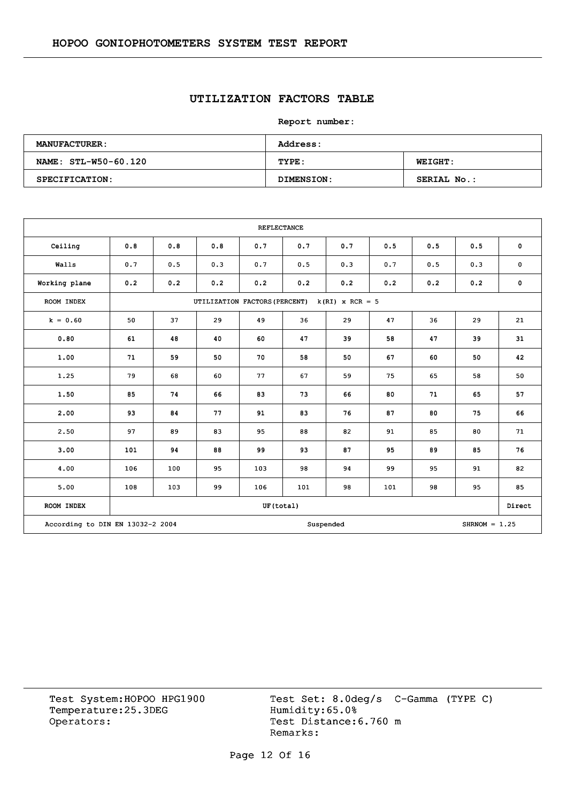## **UTILIZATION FACTORS TABLE**

**Report number:** 

| <b>MANUFACTURER:</b> | <b>Address:</b> |                    |
|----------------------|-----------------|--------------------|
| NAME: STL-W50-60.120 | TYPE:           | <b>WEIGHT:</b>     |
| SPECIFICATION:       | DIMENSION:      | <b>SERIAL No.:</b> |

|                                                                  |     |     |                               | <b>REFLECTANCE</b> |     |                   |     |     |     |             |
|------------------------------------------------------------------|-----|-----|-------------------------------|--------------------|-----|-------------------|-----|-----|-----|-------------|
| Ceiling                                                          | 0.8 | 0.8 | 0.8                           | 0.7                | 0.7 | 0.7               | 0.5 | 0.5 | 0.5 | $\mathbf 0$ |
| Walls                                                            | 0.7 | 0.5 | 0.3                           | 0.7                | 0.5 | 0.3               | 0.7 | 0.5 | 0.3 | $\pmb{0}$   |
| Working plane                                                    | 0.2 | 0.2 | 0.2                           | 0.2                | 0.2 | 0.2               | 0.2 | 0.2 | 0.2 | $\pmb{0}$   |
| ROOM INDEX                                                       |     |     | UTILIZATION FACTORS (PERCENT) |                    |     | $k(RI)$ x RCR = 5 |     |     |     |             |
| $k = 0.60$                                                       | 50  | 37  | 29                            | 49                 | 36  | 29                | 47  | 36  | 29  | 21          |
| 0.80                                                             | 61  | 48  | 40                            | 60                 | 47  | 39                | 58  | 47  | 39  | 31          |
| 1.00                                                             | 71  | 59  | 50                            | 70                 | 58  | 50                | 67  | 60  | 50  | 42          |
| 1.25                                                             | 79  | 68  | 60                            | 77                 | 67  | 59                | 75  | 65  | 58  | 50          |
| 1.50                                                             | 85  | 74  | 66                            | 83                 | 73  | 66                | 80  | 71  | 65  | 57          |
| 2.00                                                             | 93  | 84  | 77                            | 91                 | 83  | 76                | 87  | 80  | 75  | 66          |
| 2.50                                                             | 97  | 89  | 83                            | 95                 | 88  | 82                | 91  | 85  | 80  | 71          |
| 3.00                                                             | 101 | 94  | 88                            | 99                 | 93  | 87                | 95  | 89  | 85  | 76          |
| 4.00                                                             | 106 | 100 | 95                            | 103                | 98  | 94                | 99  | 95  | 91  | 82          |
| 5.00                                                             | 108 | 103 | 99                            | 106                | 101 | 98                | 101 | 98  | 95  | 85          |
| ROOM INDEX                                                       |     |     |                               | UF(total)          |     |                   |     |     |     | Direct      |
| According to DIN EN 13032-2 2004<br>$SHRNOM = 1.25$<br>Suspended |     |     |                               |                    |     |                   |     |     |     |             |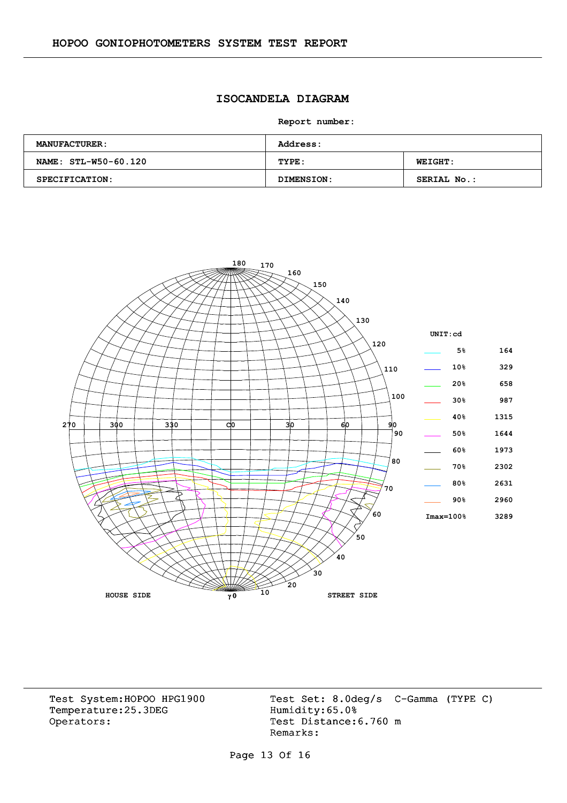### **ISOCANDELA DIAGRAM**

**Report number:** 

| <b>MANUFACTURER:</b> | <b>Address:</b> |                |
|----------------------|-----------------|----------------|
| NAME: STL-W50-60.120 | TYPE:           | <b>WEIGHT:</b> |
| SPECIFICATION:       | DIMENSION:      | SERIAL No.:    |

![](_page_12_Figure_4.jpeg)

Temperature:25.3DEG Operators: Test Distance: 6.760 m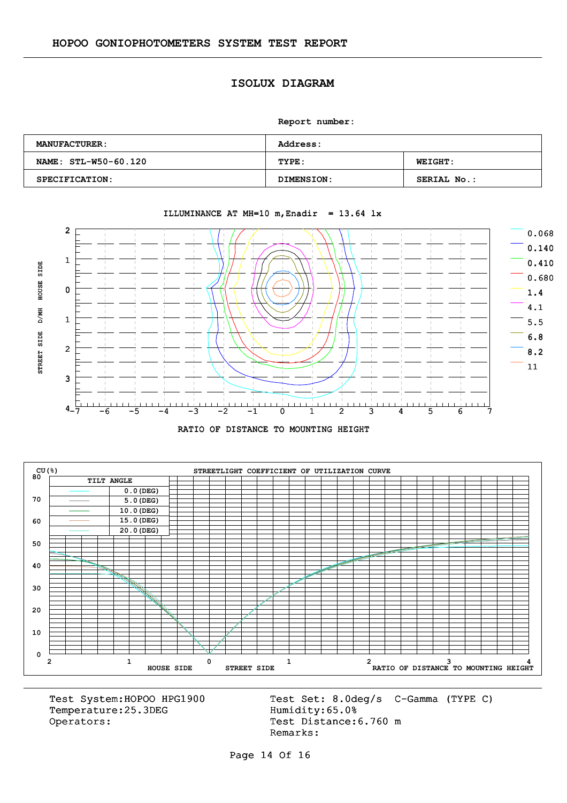### **ISOLUX DIAGRAM**

**Report number:** 

| <b>MANUFACTURER:</b> | <b>Address:</b>   |                    |
|----------------------|-------------------|--------------------|
| NAME: STL-W50-60.120 | TYPE:             | <b>WEIGHT:</b>     |
| SPECIFICATION:       | <b>DIMENSION:</b> | <b>SERIAL No.:</b> |

![](_page_13_Figure_4.jpeg)

#### ILLUMINANCE AT MH=10 m, Enadir =  $13.64$  lx

![](_page_13_Figure_6.jpeg)

![](_page_13_Figure_7.jpeg)

Temperature:25.3DEG Operators: Test Distance: 6.760 m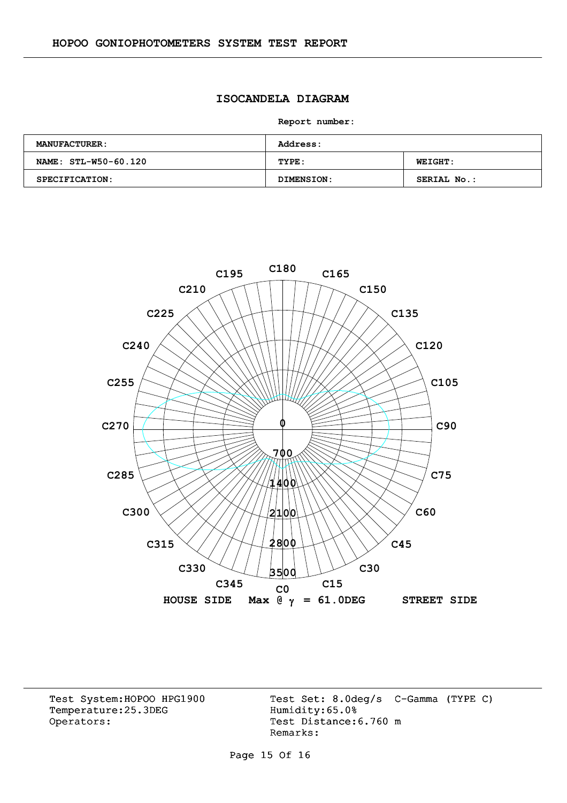### **ISOCANDELA DIAGRAM**

**Report number:** 

| <b>MANUFACTURER:</b> | <b>Address:</b> |                |
|----------------------|-----------------|----------------|
| NAME: STL-W50-60.120 | TYPE:           | <b>WEIGHT:</b> |
| SPECIFICATION:       | DIMENSION:      | SERIAL No.:    |

![](_page_14_Figure_4.jpeg)

Temperature:25.3DEG Operators: Test Distance: 6.760 m

Test System:HOPOO HPG1900 Test Set: 8.0deg/s C-Gamma (TYPE C)<br>Temperature:25.3DEG Humidity:65.0% Remarks:

Page 15 Of 16